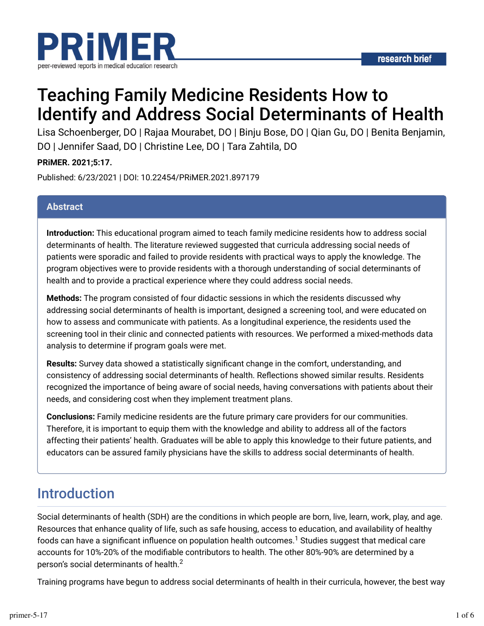

# Teaching Family Medicine Residents How to Identify and Address Social Determinants of Health

Lisa Schoenberger, DO | Rajaa Mourabet, DO | Binju Bose, DO | Qian Gu, DO | Benita Benjamin, DO | Jennifer Saad, DO | Christine Lee, DO | Tara Zahtila, DO

### **PRiMER. 2021;5:17.**

Published: 6/23/2021 | DOI: 10.22454/PRiMER.2021.897179

### **Abstract**

**Introduction:** This educational program aimed to teach family medicine residents how to address social determinants of health. The literature reviewed suggested that curricula addressing social needs of patients were sporadic and failed to provide residents with practical ways to apply the knowledge. The program objectives were to provide residents with a thorough understanding of social determinants of health and to provide a practical experience where they could address social needs.

**Methods:** The program consisted of four didactic sessions in which the residents discussed why addressing social determinants of health is important, designed a screening tool, and were educated on how to assess and communicate with patients. As a longitudinal experience, the residents used the screening tool in their clinic and connected patients with resources. We performed a mixed-methods data analysis to determine if program goals were met.

**Results:** Survey data showed a statistically significant change in the comfort, understanding, and consistency of addressing social determinants of health. Reflections showed similar results. Residents recognized the importance of being aware of social needs, having conversations with patients about their needs, and considering cost when they implement treatment plans.

**Conclusions:** Family medicine residents are the future primary care providers for our communities. Therefore, it is important to equip them with the knowledge and ability to address all of the factors affecting their patients' health. Graduates will be able to apply this knowledge to their future patients, and educators can be assured family physicians have the skills to address social determinants of health.

## Introduction

Social determinants of health (SDH) are the conditions in which people are born, live, learn, work, play, and age. Resources that enhance quality of life, such as safe housing, access to education, and availability of healthy foods can have a significant influence on population health outcomes. $^1$  Studies suggest that medical care accounts for 10%-20% of the modifiable contributors to health. The other 80%-90% are determined by a person's social determinants of health. $^2$ 

Training programs have begun to address social determinants of health in their curricula, however, the best way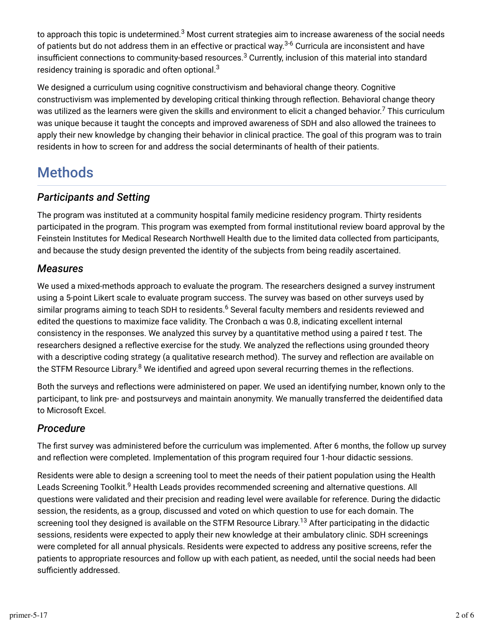to approach this topic is undetermined. $^3$  Most current strategies aim to increase awareness of the social needs of patients but do not address them in an effective or practical way.<sup>3-6</sup> Curricula are inconsistent and have insufficient connections to community-based resources. $^3$  Currently, inclusion of this material into standard residency training is sporadic and often optional. $^3$ 

We designed a curriculum using cognitive constructivism and behavioral change theory. Cognitive constructivism was implemented by developing critical thinking through reflection. Behavioral change theory was utilized as the learners were given the skills and environment to elicit a changed behavior.<sup>7</sup> This curriculum was unique because it taught the concepts and improved awareness of SDH and also allowed the trainees to apply their new knowledge by changing their behavior in clinical practice. The goal of this program was to train residents in how to screen for and address the social determinants of health of their patients.

## Methods

### *Participants and Setting*

The program was instituted at a community hospital family medicine residency program. Thirty residents participated in the program. This program was exempted from formal institutional review board approval by the Feinstein Institutes for Medical Research Northwell Health due to the limited data collected from participants, and because the study design prevented the identity of the subjects from being readily ascertained.

### *Measures*

We used a mixed-methods approach to evaluate the program. The researchers designed a survey instrument using a 5-point Likert scale to evaluate program success. The survey was based on other surveys used by similar programs aiming to teach SDH to residents.<sup>6</sup> Several faculty members and residents reviewed and edited the questions to maximize face validity. The Cronbach α was 0.8, indicating excellent internal consistency in the responses. We analyzed this survey by a quantitative method using a paired *t* test. The researchers designed a reflective exercise for the study. We analyzed the reflections using grounded theory with a descriptive coding strategy (a qualitative research method). The survey and reflection are available on the STFM Resource Library. $^8$  We identified and agreed upon several recurring themes in the reflections.

Both the surveys and reflections were administered on paper. We used an identifying number, known only to the participant, to link pre- and postsurveys and maintain anonymity. We manually transferred the deidentified data to Microsoft Excel.

### *Procedure*

The first survey was administered before the curriculum was implemented. After 6 months, the follow up survey and reflection were completed. Implementation of this program required four 1-hour didactic sessions.

Residents were able to design a screening tool to meet the needs of their patient population using the Health Leads Screening Toolkit.<sup>9</sup> Health Leads provides recommended screening and alternative questions. All questions were validated and their precision and reading level were available for reference. During the didactic session, the residents, as a group, discussed and voted on which question to use for each domain. The screening tool they designed is available on the STFM Resource Library.<sup>13</sup> After participating in the didactic sessions, residents were expected to apply their new knowledge at their ambulatory clinic. SDH screenings were completed for all annual physicals. Residents were expected to address any positive screens, refer the patients to appropriate resources and follow up with each patient, as needed, until the social needs had been sufficiently addressed.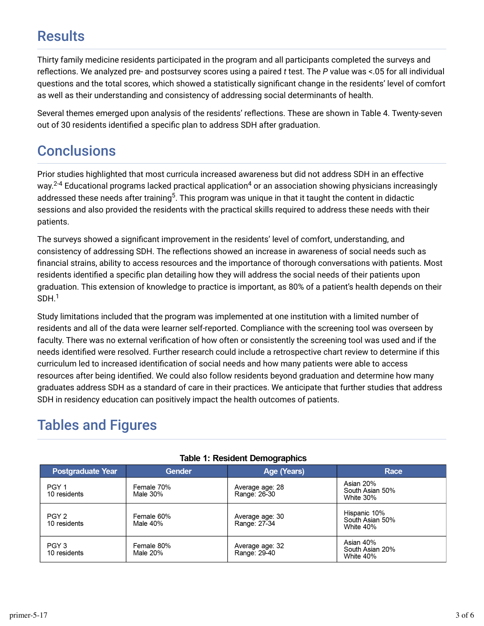## **Results**

Thirty family medicine residents participated in the program and all participants completed the surveys and reflections. We analyzed pre- and postsurvey scores using a paired *t* test. The *P* value was <.05 for all individual questions and the total scores, which showed a statistically significant change in the residents' level of comfort as well as their understanding and consistency of addressing social determinants of health.

Several themes emerged upon analysis of the residents' reflections. These are shown in Table 4. Twenty-seven out of 30 residents identified a specific plan to address SDH after graduation.

## **Conclusions**

Prior studies highlighted that most curricula increased awareness but did not address SDH in an effective way.<sup>2-4</sup> Educational programs lacked practical application<sup>4</sup> or an association showing physicians increasingly addressed these needs after training $^5$ . This program was unique in that it taught the content in didactic sessions and also provided the residents with the practical skills required to address these needs with their patients.

The surveys showed a significant improvement in the residents' level of comfort, understanding, and consistency of addressing SDH. The reflections showed an increase in awareness of social needs such as financial strains, ability to access resources and the importance of thorough conversations with patients. Most residents identified a specific plan detailing how they will address the social needs of their patients upon graduation. This extension of knowledge to practice is important, as 80% of a patient's health depends on their  $SDH.<sup>1</sup>$ 

Study limitations included that the program was implemented at one institution with a limited number of residents and all of the data were learner self-reported. Compliance with the screening tool was overseen by faculty. There was no external verification of how often or consistently the screening tool was used and if the needs identified were resolved. Further research could include a retrospective chart review to determine if this curriculum led to increased identification of social needs and how many patients were able to access resources after being identified. We could also follow residents beyond graduation and determine how many graduates address SDH as a standard of care in their practices. We anticipate that further studies that address SDH in residency education can positively impact the health outcomes of patients.

## Tables and Figures

|  | <b>Postgraduate Year</b>         | <b>Gender</b>          | Age (Years)                     | Race                                         |
|--|----------------------------------|------------------------|---------------------------------|----------------------------------------------|
|  | PGY 1<br>10 residents            | Female 70%<br>Male 30% | Average age: 28<br>Range: 26-30 | Asian 20%<br>South Asian 50%<br>White 30%    |
|  | PGY <sub>2</sub><br>10 residents | Female 60%<br>Male 40% | Average age: 30<br>Range: 27-34 | Hispanic 10%<br>South Asian 50%<br>White 40% |
|  | PGY <sub>3</sub><br>10 residents | Female 80%<br>Male 20% | Average age: 32<br>Range. 29-40 | Asian 40%<br>South Asian 20%<br>White 40%    |

### **Table 1: Resident Demographics**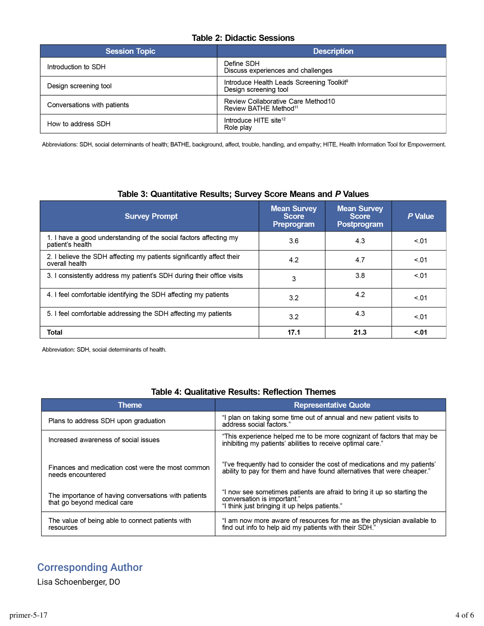#### **Table 2: Didactic Sessions**

| <b>Session Topic</b>        | <b>Description</b>                                                             |
|-----------------------------|--------------------------------------------------------------------------------|
| Introduction to SDH         | Define SDH<br>Discuss experiences and challenges                               |
| Design screening tool       | Introduce Health Leads Screening Toolkit <sup>®</sup><br>Design screening tool |
| Conversations with patients | Review Collaborative Care Method10<br>Review BATHE Method <sup>11</sup>        |
| How to address SDH          | Introduce HITE site <sup>12</sup><br>Role play                                 |

Abbreviations: SDH, social determinants of health; BATHE, background, affect, trouble, handling, and empathy; HITE, Health Information Tool for Empowerment.

| <b>Survey Prompt</b>                                                                    | <b>Mean Survey</b><br><b>Score</b><br>Preprogram | <b>Mean Survey</b><br><b>Score</b><br>Postprogram | P Value |
|-----------------------------------------------------------------------------------------|--------------------------------------------------|---------------------------------------------------|---------|
| 1. I have a good understanding of the social factors affecting my<br>patient's health   | 3.6                                              | 4.3                                               | < 01    |
| 2. I believe the SDH affecting my patients significantly affect their<br>overall health | 4.2                                              | 4.7                                               | < 01    |
| 3. I consistently address my patient's SDH during their office visits                   | 3                                                | 3.8                                               | < 01    |
| 4. I feel comfortable identifying the SDH affecting my patients                         | 3.2                                              | 4.2                                               | < 01    |
| 5. I feel comfortable addressing the SDH affecting my patients                          | 3.2                                              | 4.3                                               | < 01    |
| <b>Total</b>                                                                            | 17.1                                             | 21.3                                              | < 01    |

#### Table 3: Quantitative Results; Survey Score Means and P Values

Abbreviation: SDH, social determinants of health.

#### **Table 4: Qualitative Results: Reflection Themes**

| <b>Theme</b>                                                                        | <b>Representative Quote</b>                                                                                                                             |  |
|-------------------------------------------------------------------------------------|---------------------------------------------------------------------------------------------------------------------------------------------------------|--|
| Plans to address SDH upon graduation                                                | "I plan on taking some time out of annual and new patient visits to<br>address social factors."                                                         |  |
| Increased awareness of social issues                                                | "This experience helped me to be more cognizant of factors that may be<br>inhibiting my patients' abilities to receive optimal care."                   |  |
| Finances and medication cost were the most common<br>needs encountered              | "i've frequently had to consider the cost of medications and my patients"<br>ability to pay for them and have found alternatives that were cheaper."    |  |
| The importance of having conversations with patients<br>that go beyond medical care | "I now see sometimes patients are afraid to bring it up so starting the<br>conversation is important."<br>"I think just bringing it up helps patients." |  |
| The value of being able to connect patients with<br>resources                       | "I am now more aware of resources for me as the physician available to<br>find out info to help aid my patients with their SDH."                        |  |

## Corresponding Author

Lisa Schoenberger, DO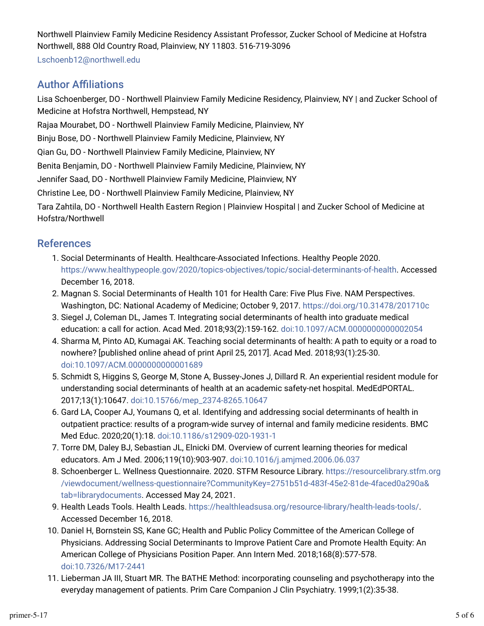Northwell Plainview Family Medicine Residency Assistant Professor, Zucker School of Medicine at Hofstra Northwell, 888 Old Country Road, Plainview, NY 11803. 516-719-3096

Lschoenb12@northwell.edu

### **Author Affiliations**

Lisa Schoenberger, DO - Northwell Plainview Family Medicine Residency, Plainview, NY | and Zucker School of Medicine at Hofstra Northwell, Hempstead, NY

Rajaa Mourabet, DO - Northwell Plainview Family Medicine, Plainview, NY

Binju Bose, DO - Northwell Plainview Family Medicine, Plainview, NY

Qian Gu, DO - Northwell Plainview Family Medicine, Plainview, NY

Benita Benjamin, DO - Northwell Plainview Family Medicine, Plainview, NY

Jennifer Saad, DO - Northwell Plainview Family Medicine, Plainview, NY

Christine Lee, DO - Northwell Plainview Family Medicine, Plainview, NY

Tara Zahtila, DO - Northwell Health Eastern Region | Plainview Hospital | and Zucker School of Medicine at Hofstra/Northwell

### References

- 1. Social Determinants of Health. Healthcare-Associated Infections. Healthy People 2020. https://www.healthypeople.gov/2020/topics-objectives/topic/social-determinants-of-health. Accessed December 16, 2018.
- 2. Magnan S. Social Determinants of Health 101 for Health Care: Five Plus Five. NAM Perspectives. Washington, DC: National Academy of Medicine; October 9, 2017. https://doi.org/10.31478/201710c
- 3. Siegel J, Coleman DL, James T. Integrating social determinants of health into graduate medical education: a call for action. Acad Med. 2018;93(2):159-162. doi:10.1097/ACM.0000000000002054
- 4. Sharma M, Pinto AD, Kumagai AK. Teaching social determinants of health: A path to equity or a road to nowhere? [published online ahead of print April 25, 2017]. Acad Med. 2018;93(1):25-30. doi:10.1097/ACM.0000000000001689
- 5. Schmidt S, Higgins S, George M, Stone A, Bussey-Jones J, Dillard R. An experiential resident module for understanding social determinants of health at an academic safety-net hospital. MedEdPORTAL. 2017;13(1):10647. doi:10.15766/mep\_2374-8265.10647
- r. Gard LA, Cooper AJ, Youmans Q, et al. Identifying and addressing social determinants of health in outpatient practice: results of a program-wide survey of internal and family medicine residents. BMC Med Educ. 2020;20(1):18. doi:10.1186/s12909-020-1931-1
- 7. Torre DM, Daley BJ, Sebastian JL, Elnicki DM. Overview of current learning theories for medical educators. Am J Med. 2006;119(10):903-907. doi:10.1016/j.amjmed.2006.06.037
- s. Schoenberger L. Wellness Questionnaire. 2020. STFM Resource Library. https://resourcelibrary.stfm.org /viewdocument/wellness-questionnaire?CommunityKey=2751b51d-483f-45e2-81de-4faced0a290a& tab=librarydocuments. Accessed May 24, 2021.
- 9. Health Leads Tools. Health Leads. https://healthleadsusa.org/resource-library/health-leads-tools/. Accessed December 16, 2018.
- 10. Daniel H, Bornstein SS, Kane GC; Health and Public Policy Committee of the American College of Physicians. Addressing Social Determinants to Improve Patient Care and Promote Health Equity: An American College of Physicians Position Paper. Ann Intern Med. 2018;168(8):577-578. doi:10.7326/M17-2441
- 11. Lieberman JA III, Stuart MR. The BATHE Method: incorporating counseling and psychotherapy into the everyday management of patients. Prim Care Companion J Clin Psychiatry. 1999;1(2):35-38.